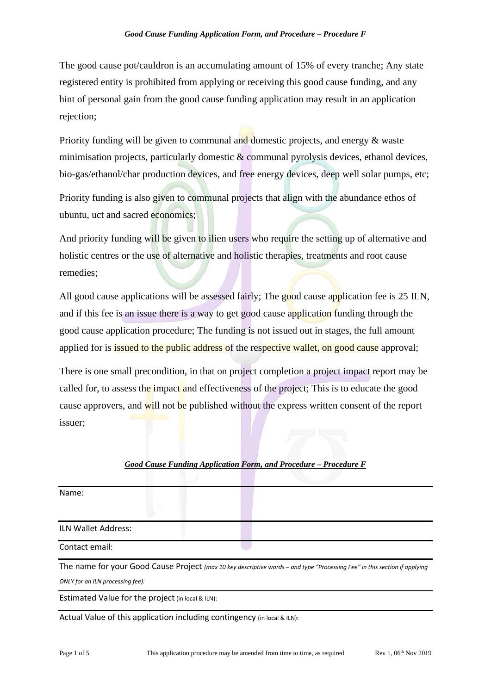The good cause pot/cauldron is an accumulating amount of 15% of every tranche; Any state registered entity is prohibited from applying or receiving this good cause funding, and any hint of personal gain from the good cause funding application may result in an application rejection;

Priority funding will be given to communal and domestic projects, and energy & waste minimisation projects, particularly domestic & communal pyrolysis devices, ethanol devices, bio-gas/ethanol/char production devices, and free energy devices, deep well solar pumps, etc;

Priority funding is also given to communal projects that align with the abundance ethos of ubuntu, uct and sacred economics;

And priority funding will be given to ilien users who require the setting up of alternative and holistic centres or the use of alternative and holistic therapies, treatments and root cause remedies;

All good cause applications will be assessed fairly; The good cause application fee is 25 ILN, and if this fee is an issue there is a way to get good cause application funding through the good cause application procedure; The funding is not issued out in stages, the full amount applied for is **issued to the public address** of the respective wallet, on good cause approval;

There is one small precondition, in that on project completion a project impact report may be called for, to assess the impact and effectiveness of the project; This is to educate the good cause approvers, and will not be published without the express written consent of the report issuer;

## *Good Cause Funding Application Form, and Procedure – Procedure F*

Name:

ILN Wallet Address:

Contact email:

The name for your Good Cause Project *(max 10 key descriptive words – and type "Processing Fee" in this section if applying ONLY for an ILN processing fee):*

Estimated Value for the project (in local & ILN):

Actual Value of this application including contingency (in local & ILN):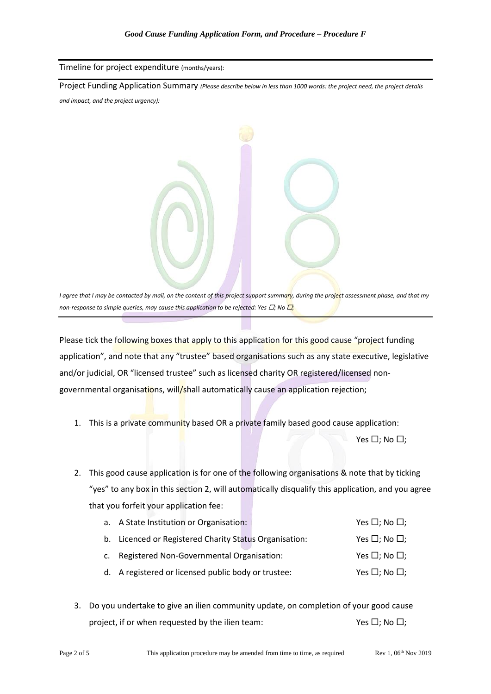## Timeline for project expenditure (months/years):

Project Funding Application Summary *(Please describe below in less than 1000 words: the project need, the project details and impact, and the project urgency):*

*I agree that I may be contacted by mail, on the content of this project support summary, during the project assessment phase, and that my non-response to simple queries, may cause this application to be rejected: Yes*  $\Box$ *; No*  $\Box$ *;* 

Please tick the following boxes that apply to this application for this good cause "project funding application", and note that any "trustee" based organisations such as any state executive, legislative and/or judicial, OR "licensed trustee" such as licensed charity OR registered/licensed nongovernmental organisations, will/shall automatically cause an application rejection;

1. This is a private community based OR a private family based good cause application:

Yes  $\Box$ ; No  $\Box$ ;

2. This good cause application is for one of the following organisations & note that by ticking "yes" to any box in this section 2, will automatically disqualify this application, and you agree that you forfeit your application fee:

| a. A State Institution or Organisation:                |  | Yes $\Box$ ; No $\Box$ ; |
|--------------------------------------------------------|--|--------------------------|
| b. Licenced or Registered Charity Status Organisation: |  | Yes $\Box$ ; No $\Box$ ; |
| c. Registered Non-Governmental Organisation:           |  | Yes $\Box$ ; No $\Box$ ; |
| d. A registered or licensed public body or trustee:    |  | Yes $\Box$ ; No $\Box$ ; |

3. Do you undertake to give an ilien community update, on completion of your good cause project, if or when requested by the ilien team:  $Y \in \square$ ; No  $\square$ ;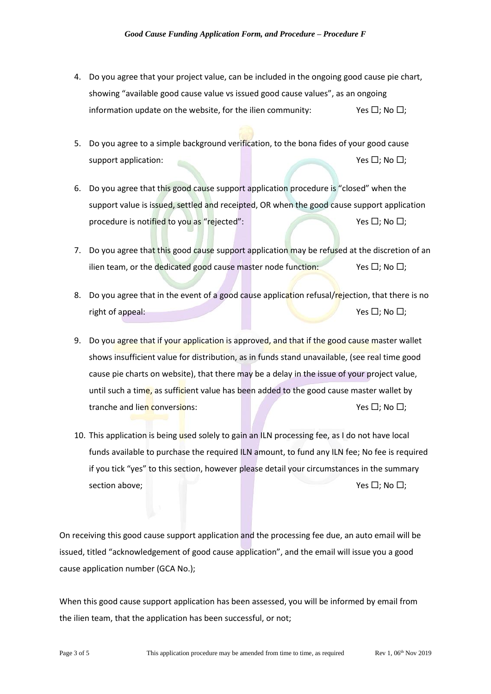- 4. Do you agree that your project value, can be included in the ongoing good cause pie chart, showing "available good cause value vs issued good cause values", as an ongoing information update on the website, for the ilien community:  $Y \in \Box$ ; No  $\Box$ ;
- 5. Do you agree to a simple background verification, to the bona fides of your good cause support application:  $Y$ es  $\Box$ ; No  $\Box$ ;
- 6. Do you agree that this good cause support application procedure is "closed" when the support value is issued, settled and receipted, OR when the good cause support application procedure is notified to you as "rejected":  $Y \in \Box$ ; No  $\Box$ ; No  $\Box$ ;
- 7. Do you agree that this good cause support application may be refused at the discretion of an ilien team, or the dedicated good cause master node function: Yes  $\Box$ ; No  $\Box$ ;
- 8. Do you agree that in the event of a good cause application refusal/rejection, that there is no right of appeal:  $Y \in \Box$ ; No  $\Box$ ;
- 9. Do you agree that if your application is approved, and that if the good cause master wallet shows insufficient value for distribution, as in funds stand unavailable, (see real time good cause pie charts on website), that there may be a delay in the issue of your project value, until such a time, as sufficient value has been added to the good cause master wallet by tranche and lien conversions:  $Yes \Box: No \Box$
- 10. This application is being used solely to gain an ILN processing fee, as I do not have local funds available to purchase the required ILN amount, to fund any ILN fee; No fee is required if you tick "yes" to this section, however please detail your circumstances in the summary section above;  $\mathsf{Yes} \square; \mathsf{No} \square;$

On receiving this good cause support application and the processing fee due, an auto email will be issued, titled "acknowledgement of good cause application", and the email will issue you a good cause application number (GCA No.);

When this good cause support application has been assessed, you will be informed by email from the ilien team, that the application has been successful, or not;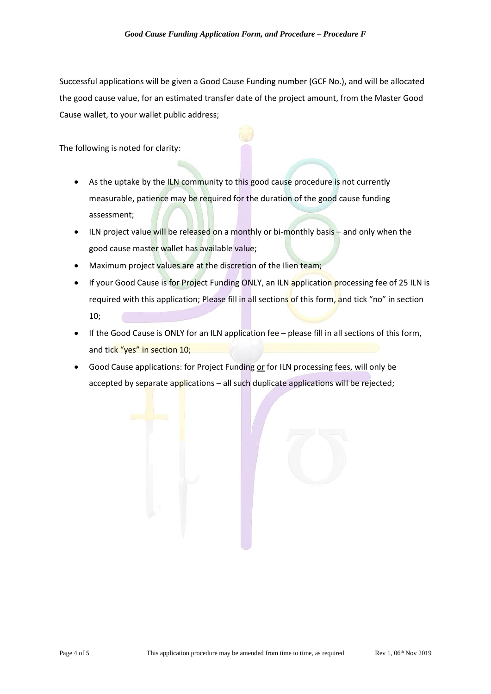Successful applications will be given a Good Cause Funding number (GCF No.), and will be allocated the good cause value, for an estimated transfer date of the project amount, from the Master Good Cause wallet, to your wallet public address;

The following is noted for clarity:

- As the uptake by the ILN community to this good cause procedure is not currently measurable, patience may be required for the duration of the good cause funding assessment;
- ILN project value will be released on a monthly or bi-monthly basis and only when the good cause master wallet has available value;
- Maximum project values are at the discretion of the Ilien team;
- If your Good Cause is for Project Funding ONLY, an ILN application processing fee of 25 ILN is required with this application; Please fill in all sections of this form, and tick "no" in section 10;
- If the Good Cause is ONLY for an ILN application fee please fill in all sections of this form, and tick "yes" in section 10;
- Good Cause applications: for Project Funding or for ILN processing fees, will only be accepted by separate applications - all such duplicate applications will be rejected;